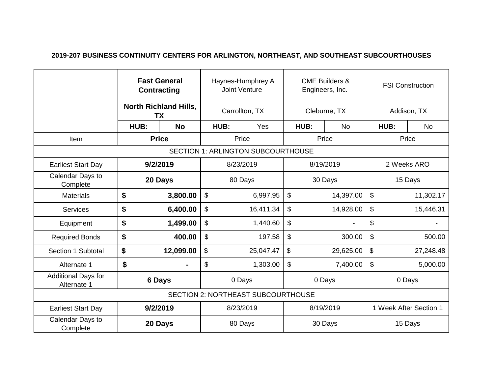## **2019-207 BUSINESS CONTINUITY CENTERS FOR ARLINGTON, NORTHEAST, AND SOUTHEAST SUBCOURTHOUSES**

|                                           | <b>Fast General</b><br><b>Contracting</b><br><b>North Richland Hills,</b><br>TX |           | Haynes-Humphrey A<br><b>Joint Venture</b> |           | <b>CME Builders &amp;</b><br>Engineers, Inc. |           | <b>FSI Construction</b> |           |           |  |
|-------------------------------------------|---------------------------------------------------------------------------------|-----------|-------------------------------------------|-----------|----------------------------------------------|-----------|-------------------------|-----------|-----------|--|
|                                           |                                                                                 |           | Carrollton, TX                            |           | Cleburne, TX                                 |           | Addison, TX             |           |           |  |
|                                           | HUB:                                                                            | <b>No</b> | HUB:                                      | Yes       | HUB:                                         | <b>No</b> | HUB:                    |           | <b>No</b> |  |
| Item                                      | <b>Price</b>                                                                    |           | Price                                     |           | Price                                        |           | Price                   |           |           |  |
| <b>SECTION 1: ARLINGTON SUBCOURTHOUSE</b> |                                                                                 |           |                                           |           |                                              |           |                         |           |           |  |
| <b>Earliest Start Day</b>                 | 9/2/2019                                                                        |           | 8/23/2019                                 |           | 8/19/2019                                    |           | 2 Weeks ARO             |           |           |  |
| Calendar Days to<br>Complete              |                                                                                 | 20 Days   |                                           | 80 Days   |                                              | 30 Days   |                         | 15 Days   |           |  |
| <b>Materials</b>                          | \$                                                                              | 3,800.00  | \$                                        | 6,997.95  | \$                                           | 14,397.00 | \$                      | 11,302.17 |           |  |
| <b>Services</b>                           | \$                                                                              | 6,400.00  | \$                                        | 16,411.34 | \$                                           | 14,928.00 | \$                      |           | 15,446.31 |  |
| Equipment                                 | \$                                                                              | 1,499.00  | \$                                        | 1,440.60  | \$                                           |           | \$                      |           |           |  |
| <b>Required Bonds</b>                     | \$                                                                              | 400.00    | \$                                        | 197.58    | \$                                           | 300.00    | \$                      |           | 500.00    |  |
| Section 1 Subtotal                        | \$                                                                              | 12,099.00 | \$                                        | 25,047.47 | \$                                           | 29,625.00 | \$                      |           | 27,248.48 |  |
| Alternate 1                               | \$                                                                              |           | \$                                        | 1,303.00  | \$                                           | 7,400.00  | \$                      |           | 5,000.00  |  |
| <b>Additional Days for</b><br>Alternate 1 |                                                                                 | 6 Days    |                                           | 0 Days    |                                              | 0 Days    | 0 Days                  |           |           |  |
| <b>SECTION 2: NORTHEAST SUBCOURTHOUSE</b> |                                                                                 |           |                                           |           |                                              |           |                         |           |           |  |
| <b>Earliest Start Day</b>                 |                                                                                 | 9/2/2019  |                                           | 8/23/2019 |                                              | 8/19/2019 | 1 Week After Section 1  |           |           |  |
| Calendar Days to<br>Complete              |                                                                                 | 20 Days   |                                           | 80 Days   |                                              | 30 Days   | 15 Days                 |           |           |  |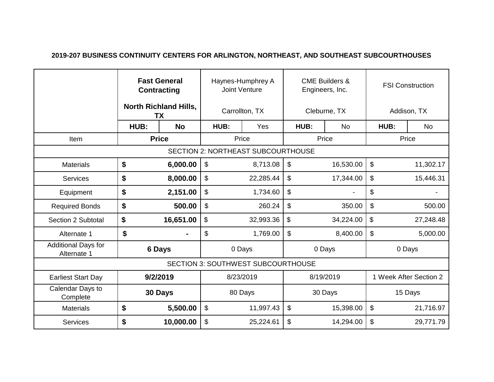## **2019-207 BUSINESS CONTINUITY CENTERS FOR ARLINGTON, NORTHEAST, AND SOUTHEAST SUBCOURTHOUSES**

|                                           | <b>Fast General</b><br><b>Contracting</b><br><b>North Richland Hills,</b><br><b>TX</b> |               | Haynes-Humphrey A<br><b>Joint Venture</b> |           | <b>CME Builders &amp;</b><br>Engineers, Inc. |              | <b>FSI Construction</b> |                   |           |           |
|-------------------------------------------|----------------------------------------------------------------------------------------|---------------|-------------------------------------------|-----------|----------------------------------------------|--------------|-------------------------|-------------------|-----------|-----------|
|                                           |                                                                                        |               | Carrollton, TX                            |           |                                              | Cleburne, TX |                         | Addison, TX       |           |           |
|                                           | HUB:                                                                                   | <b>No</b>     | HUB:                                      | Yes       |                                              | HUB:         | N <sub>o</sub>          | <b>No</b><br>HUB: |           |           |
| Item                                      | <b>Price</b>                                                                           |               | Price                                     |           | Price                                        |              | Price                   |                   |           |           |
| <b>SECTION 2: NORTHEAST SUBCOURTHOUSE</b> |                                                                                        |               |                                           |           |                                              |              |                         |                   |           |           |
| <b>Materials</b>                          | \$                                                                                     | 6,000.00      | $\boldsymbol{\mathsf{S}}$                 | 8,713.08  | \$                                           |              | 16,530.00               | \$                | 11,302.17 |           |
| <b>Services</b>                           | \$                                                                                     | 8,000.00      | $\boldsymbol{\mathsf{S}}$                 | 22,285.44 | \$                                           |              | 17,344.00               | \$                |           | 15,446.31 |
| Equipment                                 | \$                                                                                     | 2,151.00      | \$                                        | 1,734.60  | \$                                           |              |                         | \$                |           |           |
| <b>Required Bonds</b>                     | \$                                                                                     | 500.00        | $\mathcal{L}$                             | 260.24    | \$                                           |              | 350.00                  | \$                | 500.00    |           |
| Section 2 Subtotal                        | \$                                                                                     | 16,651.00     | \$                                        | 32,993.36 | \$                                           |              | 34,224.00               | \$                |           | 27,248.48 |
| Alternate 1                               | \$                                                                                     |               | $\boldsymbol{\mathsf{S}}$                 | 1,769.00  | \$                                           |              | 8,400.00                | \$                |           | 5,000.00  |
| <b>Additional Days for</b><br>Alternate 1 |                                                                                        | <b>6 Days</b> |                                           | 0 Days    |                                              | 0 Days       |                         | 0 Days            |           |           |
| <b>SECTION 3: SOUTHWEST SUBCOURTHOUSE</b> |                                                                                        |               |                                           |           |                                              |              |                         |                   |           |           |
| <b>Earliest Start Day</b>                 |                                                                                        | 9/2/2019      | 8/23/2019                                 |           | 8/19/2019                                    |              | 1 Week After Section 2  |                   |           |           |
| Calendar Days to<br>Complete              |                                                                                        | 30 Days       | 30 Days<br>80 Days                        |           | 15 Days                                      |              |                         |                   |           |           |
| <b>Materials</b>                          | \$                                                                                     | 5,500.00      | $\$\$                                     | 11,997.43 | \$                                           |              | 15,398.00               | \$                |           | 21,716.97 |
| Services                                  | \$                                                                                     | 10,000.00     | $\$\$                                     | 25,224.61 | \$                                           |              | 14,294.00               | \$<br>29,771.79   |           |           |